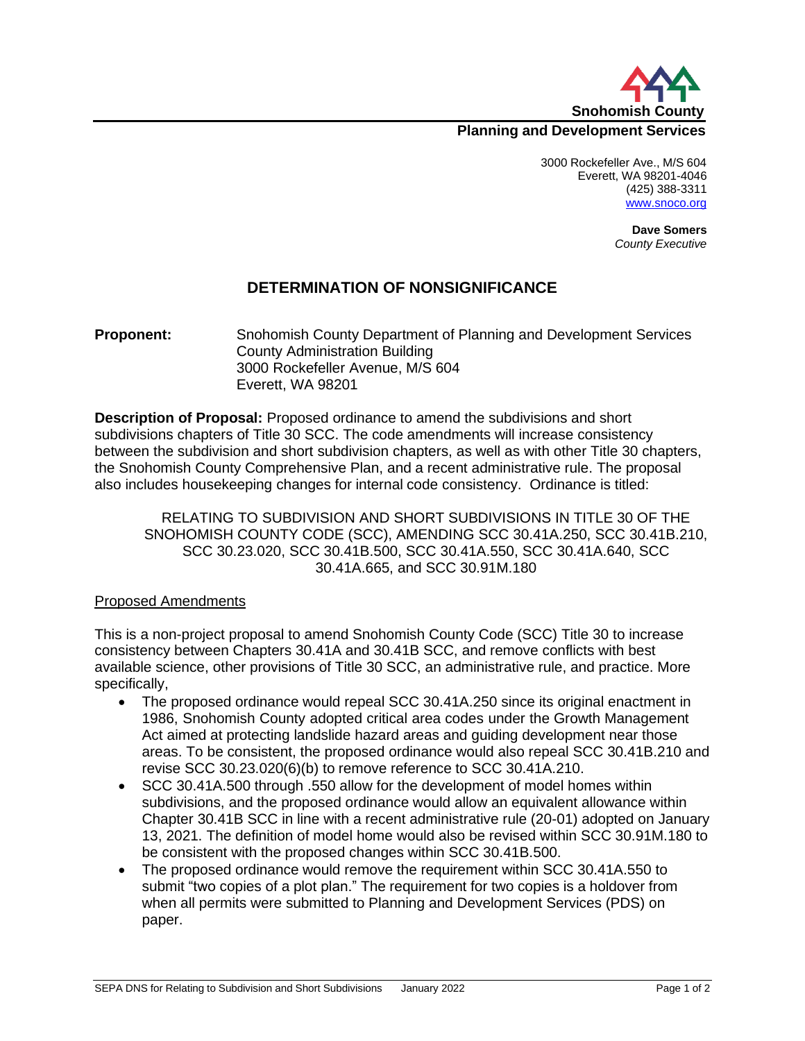

## **Planning and Development Services**

3000 Rockefeller Ave., M/S 604 Everett, WA 98201-4046 (425) 388-3311 [www.snoco.org](http://www.snoco.org/)

> **Dave Somers** *County Executive*

## **DETERMINATION OF NONSIGNIFICANCE**

**Proponent:** Snohomish County Department of Planning and Development Services County Administration Building 3000 Rockefeller Avenue, M/S 604 Everett, WA 98201

**Description of Proposal:** Proposed ordinance to amend the subdivisions and short subdivisions chapters of Title 30 SCC. The code amendments will increase consistency between the subdivision and short subdivision chapters, as well as with other Title 30 chapters, the Snohomish County Comprehensive Plan, and a recent administrative rule. The proposal also includes housekeeping changes for internal code consistency. Ordinance is titled:

RELATING TO SUBDIVISION AND SHORT SUBDIVISIONS IN TITLE 30 OF THE SNOHOMISH COUNTY CODE (SCC), AMENDING SCC 30.41A.250, SCC 30.41B.210, SCC 30.23.020, SCC 30.41B.500, SCC 30.41A.550, SCC 30.41A.640, SCC 30.41A.665, and SCC 30.91M.180

#### Proposed Amendments

This is a non-project proposal to amend Snohomish County Code (SCC) Title 30 to increase consistency between Chapters 30.41A and 30.41B SCC, and remove conflicts with best available science, other provisions of Title 30 SCC, an administrative rule, and practice. More specifically,

- The proposed ordinance would repeal SCC 30.41A.250 since its original enactment in 1986, Snohomish County adopted critical area codes under the Growth Management Act aimed at protecting landslide hazard areas and guiding development near those areas. To be consistent, the proposed ordinance would also repeal SCC 30.41B.210 and revise SCC 30.23.020(6)(b) to remove reference to SCC 30.41A.210.
- SCC 30.41A.500 through .550 allow for the development of model homes within subdivisions, and the proposed ordinance would allow an equivalent allowance within Chapter 30.41B SCC in line with a recent administrative rule (20-01) adopted on January 13, 2021. The definition of model home would also be revised within SCC 30.91M.180 to be consistent with the proposed changes within SCC 30.41B.500.
- The proposed ordinance would remove the requirement within SCC 30.41A.550 to submit "two copies of a plot plan." The requirement for two copies is a holdover from when all permits were submitted to Planning and Development Services (PDS) on paper.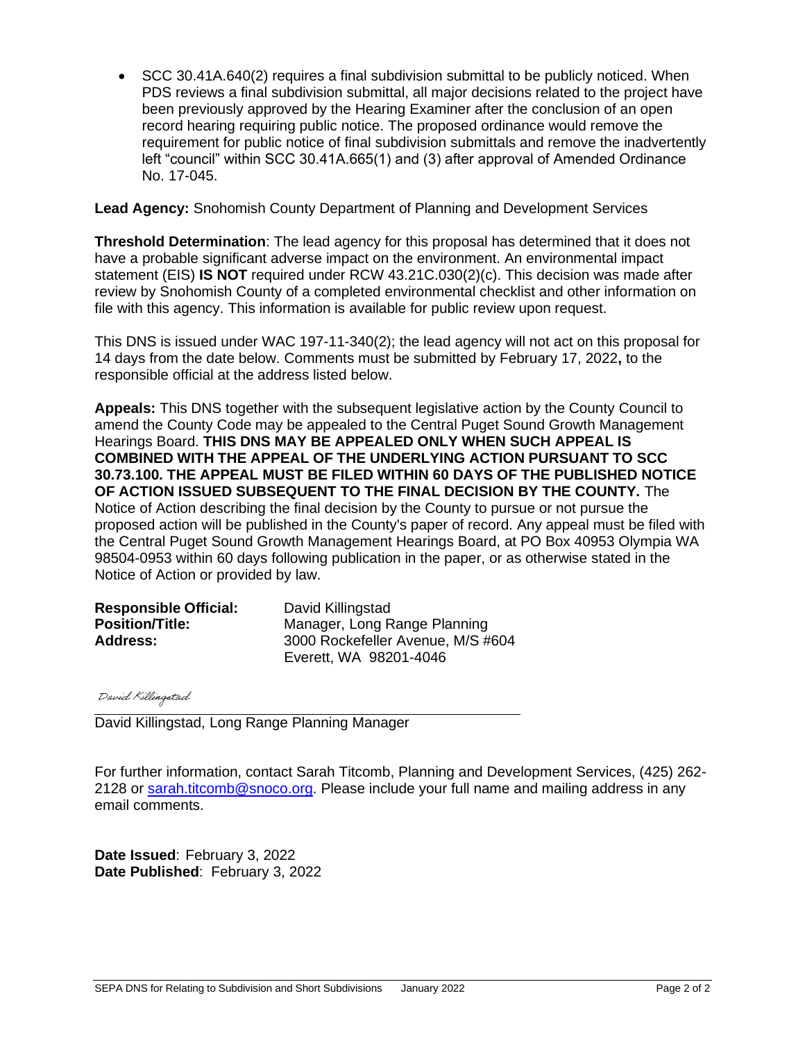• SCC 30.41A.640(2) requires a final subdivision submittal to be publicly noticed. When PDS reviews a final subdivision submittal, all major decisions related to the project have been previously approved by the Hearing Examiner after the conclusion of an open record hearing requiring public notice. The proposed ordinance would remove the requirement for public notice of final subdivision submittals and remove the inadvertently left "council" within SCC 30.41A.665(1) and (3) after approval of Amended Ordinance No. 17-045.

#### **Lead Agency:** Snohomish County Department of Planning and Development Services

**Threshold Determination**: The lead agency for this proposal has determined that it does not have a probable significant adverse impact on the environment. An environmental impact statement (EIS) **IS NOT** required under RCW 43.21C.030(2)(c). This decision was made after review by Snohomish County of a completed environmental checklist and other information on file with this agency. This information is available for public review upon request.

This DNS is issued under WAC 197-11-340(2); the lead agency will not act on this proposal for 14 days from the date below. Comments must be submitted by February 17, 2022**,** to the responsible official at the address listed below.

**Appeals:** This DNS together with the subsequent legislative action by the County Council to amend the County Code may be appealed to the Central Puget Sound Growth Management Hearings Board. **THIS DNS MAY BE APPEALED ONLY WHEN SUCH APPEAL IS COMBINED WITH THE APPEAL OF THE UNDERLYING ACTION PURSUANT TO SCC 30.73.100. THE APPEAL MUST BE FILED WITHIN 60 DAYS OF THE PUBLISHED NOTICE OF ACTION ISSUED SUBSEQUENT TO THE FINAL DECISION BY THE COUNTY.** The Notice of Action describing the final decision by the County to pursue or not pursue the proposed action will be published in the County's paper of record. Any appeal must be filed with the Central Puget Sound Growth Management Hearings Board, at PO Box 40953 Olympia WA 98504-0953 within 60 days following publication in the paper, or as otherwise stated in the Notice of Action or provided by law.

| <b>Responsible Official:</b> | David Killingstad                 |
|------------------------------|-----------------------------------|
| <b>Position/Title:</b>       | Manager, Long Range Planning      |
| <b>Address:</b>              | 3000 Rockefeller Avenue, M/S #604 |
|                              | Everett, WA 98201-4046            |

David Killingstad

David Killingstad, Long Range Planning Manager

For further information, contact Sarah Titcomb, Planning and Development Services, (425) 262- 2128 or [sarah.titcomb@snoco.org.](mailto:sarah.titcomb@snoco.org) Please include your full name and mailing address in any email comments.

**Date Issued**: February 3, 2022 **Date Published**: February 3, 2022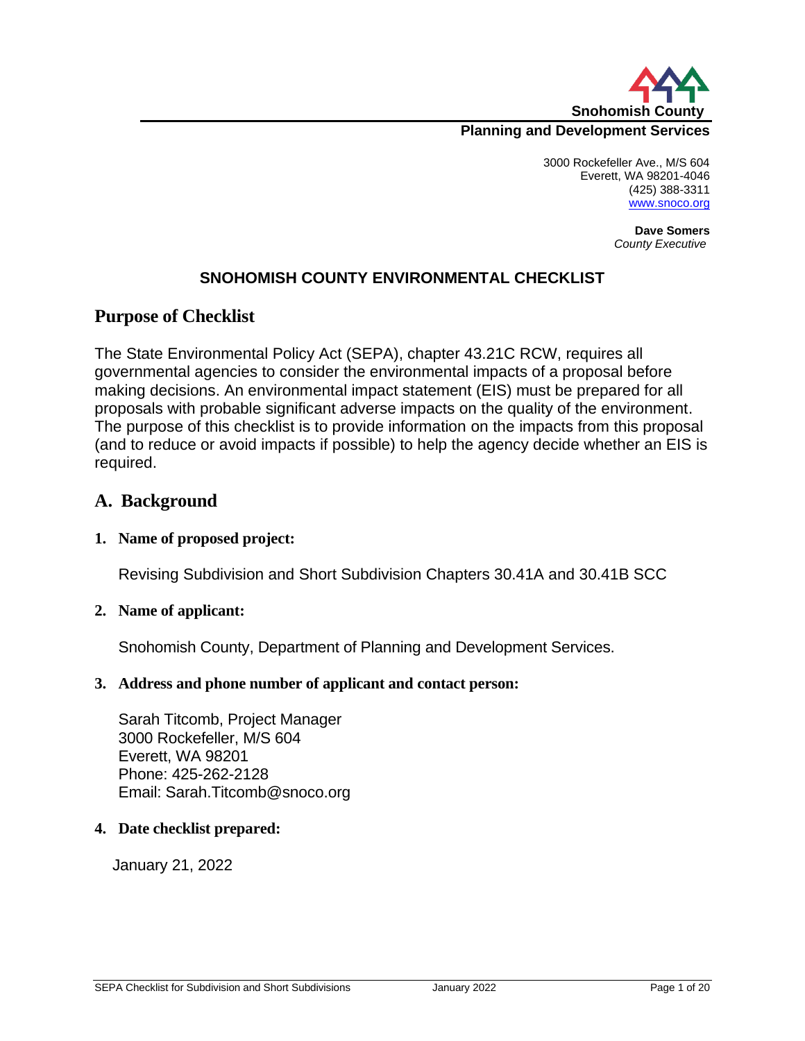

## **Planning and Development Services**

3000 Rockefeller Ave., M/S 604 Everett, WA 98201-4046 (425) 388-3311 [www.snoco.org](http://www.snoco.org/)

> **Dave Somers** *County Executive*

## **SNOHOMISH COUNTY ENVIRONMENTAL CHECKLIST**

## **Purpose of Checklist**

The State Environmental Policy Act (SEPA), chapter 43.21C RCW, requires all governmental agencies to consider the environmental impacts of a proposal before making decisions. An environmental impact statement (EIS) must be prepared for all proposals with probable significant adverse impacts on the quality of the environment. The purpose of this checklist is to provide information on the impacts from this proposal (and to reduce or avoid impacts if possible) to help the agency decide whether an EIS is required.

## **A. Background**

### **1. Name of proposed project:**

Revising Subdivision and Short Subdivision Chapters 30.41A and 30.41B SCC

### **2. Name of applicant:**

Snohomish County, Department of Planning and Development Services.

### **3. Address and phone number of applicant and contact person:**

Sarah Titcomb, Project Manager 3000 Rockefeller, M/S 604 Everett, WA 98201 Phone: 425-262-2128 Email: Sarah.Titcomb@snoco.org

#### **4. Date checklist prepared:**

January 21, 2022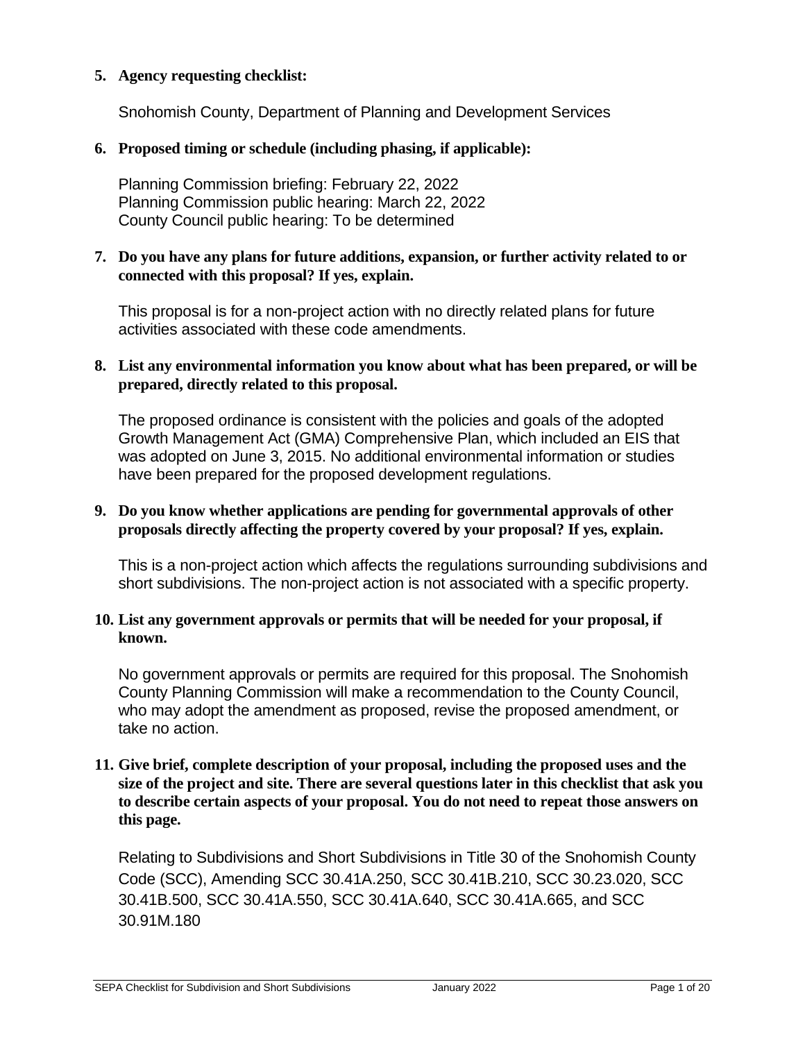## **5. Agency requesting checklist:**

Snohomish County, Department of Planning and Development Services

## **6. Proposed timing or schedule (including phasing, if applicable):**

Planning Commission briefing: February 22, 2022 Planning Commission public hearing: March 22, 2022 County Council public hearing: To be determined

### **7. Do you have any plans for future additions, expansion, or further activity related to or connected with this proposal? If yes, explain.**

This proposal is for a non-project action with no directly related plans for future activities associated with these code amendments.

### **8. List any environmental information you know about what has been prepared, or will be prepared, directly related to this proposal.**

The proposed ordinance is consistent with the policies and goals of the adopted Growth Management Act (GMA) Comprehensive Plan, which included an EIS that was adopted on June 3, 2015. No additional environmental information or studies have been prepared for the proposed development regulations.

### **9. Do you know whether applications are pending for governmental approvals of other proposals directly affecting the property covered by your proposal? If yes, explain.**

This is a non-project action which affects the regulations surrounding subdivisions and short subdivisions. The non-project action is not associated with a specific property.

### **10. List any government approvals or permits that will be needed for your proposal, if known.**

No government approvals or permits are required for this proposal. The Snohomish County Planning Commission will make a recommendation to the County Council, who may adopt the amendment as proposed, revise the proposed amendment, or take no action.

## **11. Give brief, complete description of your proposal, including the proposed uses and the size of the project and site. There are several questions later in this checklist that ask you to describe certain aspects of your proposal. You do not need to repeat those answers on this page.**

Relating to Subdivisions and Short Subdivisions in Title 30 of the Snohomish County Code (SCC), Amending SCC 30.41A.250, SCC 30.41B.210, SCC 30.23.020, SCC 30.41B.500, SCC 30.41A.550, SCC 30.41A.640, SCC 30.41A.665, and SCC 30.91M.180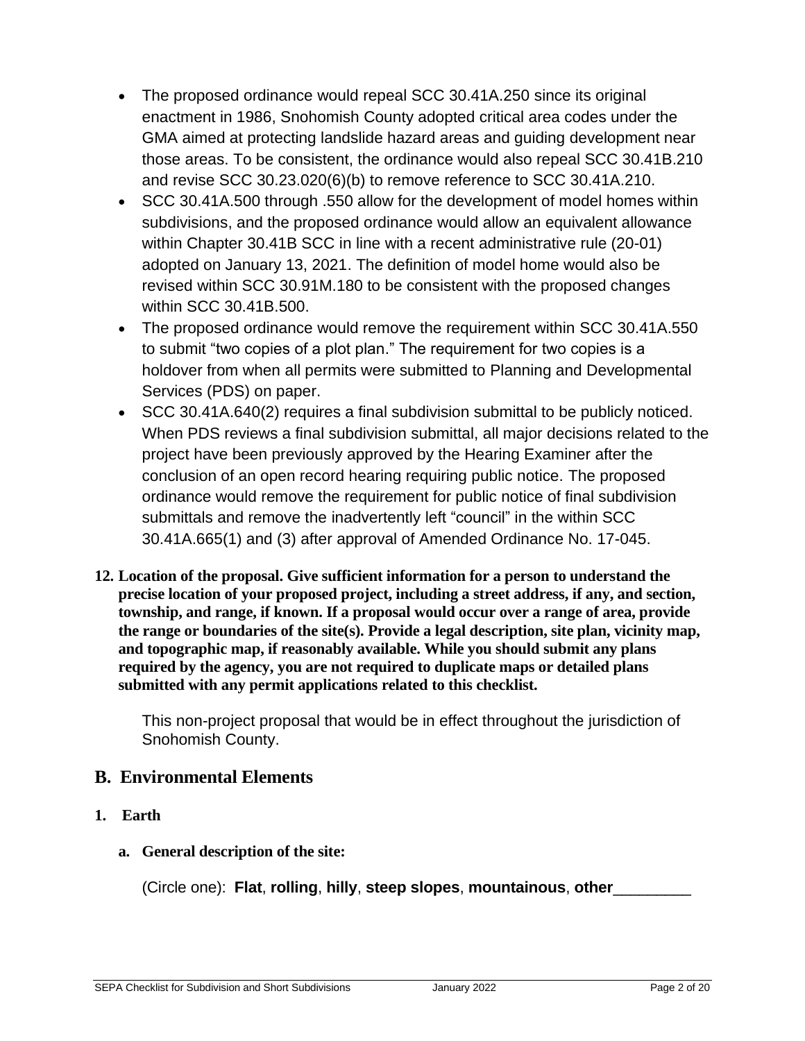- The proposed ordinance would repeal SCC 30.41A.250 since its original enactment in 1986, Snohomish County adopted critical area codes under the GMA aimed at protecting landslide hazard areas and guiding development near those areas. To be consistent, the ordinance would also repeal SCC 30.41B.210 and revise SCC 30.23.020(6)(b) to remove reference to SCC 30.41A.210.
- SCC 30.41A.500 through .550 allow for the development of model homes within subdivisions, and the proposed ordinance would allow an equivalent allowance within Chapter 30.41B SCC in line with a recent administrative rule (20-01) adopted on January 13, 2021. The definition of model home would also be revised within SCC 30.91M.180 to be consistent with the proposed changes within SCC 30.41B.500.
- The proposed ordinance would remove the requirement within SCC 30.41A.550 to submit "two copies of a plot plan." The requirement for two copies is a holdover from when all permits were submitted to Planning and Developmental Services (PDS) on paper.
- SCC 30.41A.640(2) requires a final subdivision submittal to be publicly noticed. When PDS reviews a final subdivision submittal, all major decisions related to the project have been previously approved by the Hearing Examiner after the conclusion of an open record hearing requiring public notice. The proposed ordinance would remove the requirement for public notice of final subdivision submittals and remove the inadvertently left "council" in the within SCC 30.41A.665(1) and (3) after approval of Amended Ordinance No. 17-045.
- **12. Location of the proposal. Give sufficient information for a person to understand the precise location of your proposed project, including a street address, if any, and section, township, and range, if known. If a proposal would occur over a range of area, provide the range or boundaries of the site(s). Provide a legal description, site plan, vicinity map, and topographic map, if reasonably available. While you should submit any plans required by the agency, you are not required to duplicate maps or detailed plans submitted with any permit applications related to this checklist.**

This non-project proposal that would be in effect throughout the jurisdiction of Snohomish County.

# **B. Environmental Elements**

- **1. Earth** 
	- **a. General description of the site:**

(Circle one): **Flat**, **rolling**, **hilly**, **steep slopes**, **mountainous**, **other**\_\_\_\_\_\_\_\_\_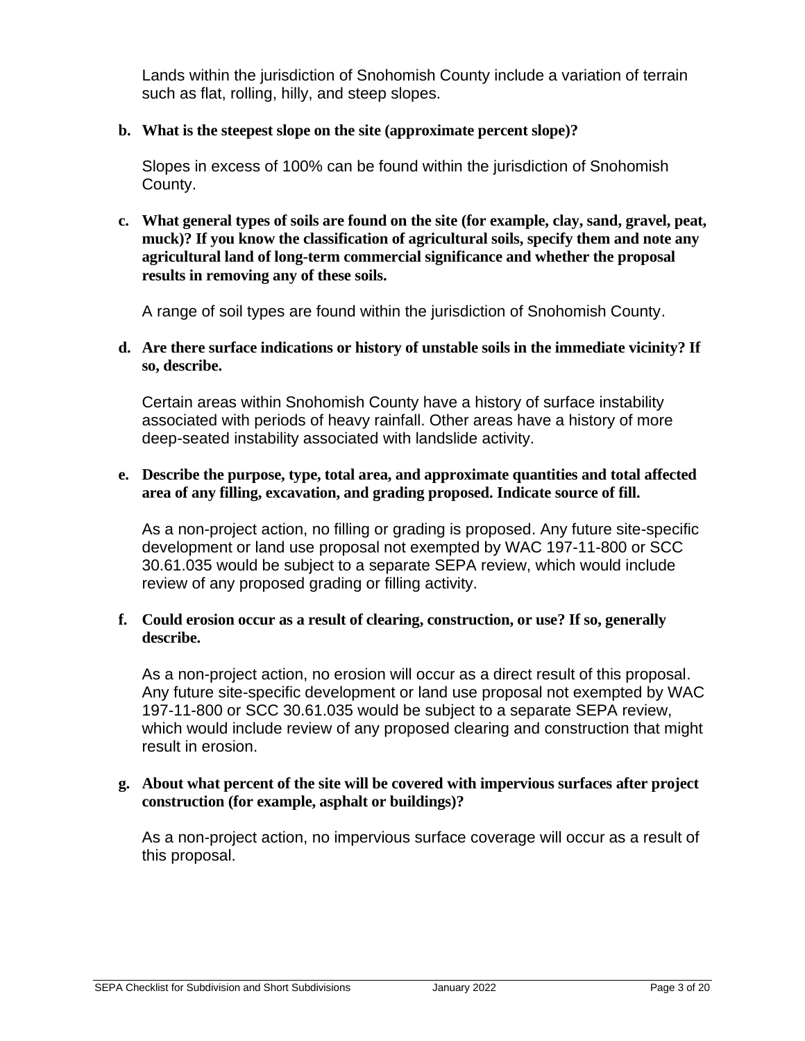Lands within the jurisdiction of Snohomish County include a variation of terrain such as flat, rolling, hilly, and steep slopes.

## **b. What is the steepest slope on the site (approximate percent slope)?**

Slopes in excess of 100% can be found within the jurisdiction of Snohomish County.

**c. What general types of soils are found on the site (for example, clay, sand, gravel, peat, muck)? If you know the classification of agricultural soils, specify them and note any agricultural land of long-term commercial significance and whether the proposal results in removing any of these soils.** 

A range of soil types are found within the jurisdiction of Snohomish County.

**d. Are there surface indications or history of unstable soils in the immediate vicinity? If so, describe.**

Certain areas within Snohomish County have a history of surface instability associated with periods of heavy rainfall. Other areas have a history of more deep-seated instability associated with landslide activity.

### **e. Describe the purpose, type, total area, and approximate quantities and total affected area of any filling, excavation, and grading proposed. Indicate source of fill.**

As a non-project action, no filling or grading is proposed. Any future site-specific development or land use proposal not exempted by WAC 197-11-800 or SCC 30.61.035 would be subject to a separate SEPA review, which would include review of any proposed grading or filling activity.

## **f. Could erosion occur as a result of clearing, construction, or use? If so, generally describe.**

As a non-project action, no erosion will occur as a direct result of this proposal. Any future site-specific development or land use proposal not exempted by WAC 197-11-800 or SCC 30.61.035 would be subject to a separate SEPA review, which would include review of any proposed clearing and construction that might result in erosion.

### **g. About what percent of the site will be covered with impervious surfaces after project construction (for example, asphalt or buildings)?**

As a non-project action, no impervious surface coverage will occur as a result of this proposal.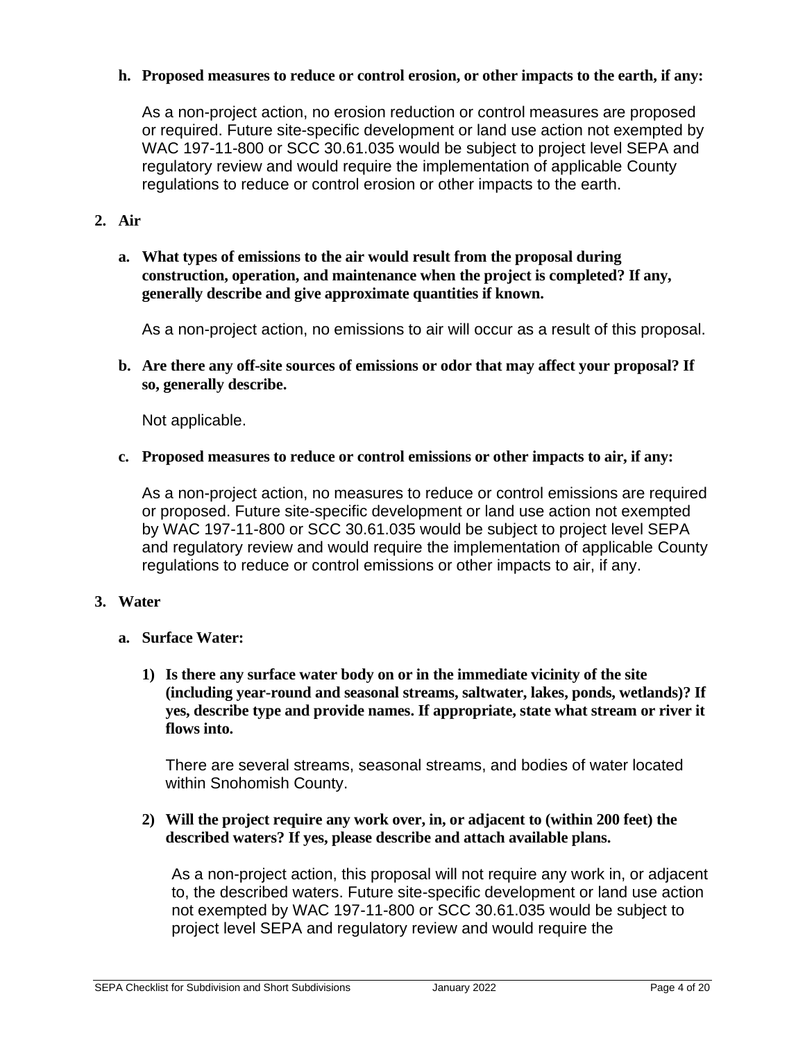## **h. Proposed measures to reduce or control erosion, or other impacts to the earth, if any:**

As a non-project action, no erosion reduction or control measures are proposed or required. Future site-specific development or land use action not exempted by WAC 197-11-800 or SCC 30.61.035 would be subject to project level SEPA and regulatory review and would require the implementation of applicable County regulations to reduce or control erosion or other impacts to the earth.

## **2. Air**

**a. What types of emissions to the air would result from the proposal during construction, operation, and maintenance when the project is completed? If any, generally describe and give approximate quantities if known.**

As a non-project action, no emissions to air will occur as a result of this proposal.

**b. Are there any off-site sources of emissions or odor that may affect your proposal? If so, generally describe.** 

Not applicable.

**c. Proposed measures to reduce or control emissions or other impacts to air, if any:** 

As a non-project action, no measures to reduce or control emissions are required or proposed. Future site-specific development or land use action not exempted by WAC 197-11-800 or SCC 30.61.035 would be subject to project level SEPA and regulatory review and would require the implementation of applicable County regulations to reduce or control emissions or other impacts to air, if any.

### **3. Water**

- **a. Surface Water:** 
	- **1) Is there any surface water body on or in the immediate vicinity of the site (including year-round and seasonal streams, saltwater, lakes, ponds, wetlands)? If yes, describe type and provide names. If appropriate, state what stream or river it flows into.**

There are several streams, seasonal streams, and bodies of water located within Snohomish County.

**2) Will the project require any work over, in, or adjacent to (within 200 feet) the described waters? If yes, please describe and attach available plans.**

As a non-project action, this proposal will not require any work in, or adjacent to, the described waters. Future site-specific development or land use action not exempted by WAC 197-11-800 or SCC 30.61.035 would be subject to project level SEPA and regulatory review and would require the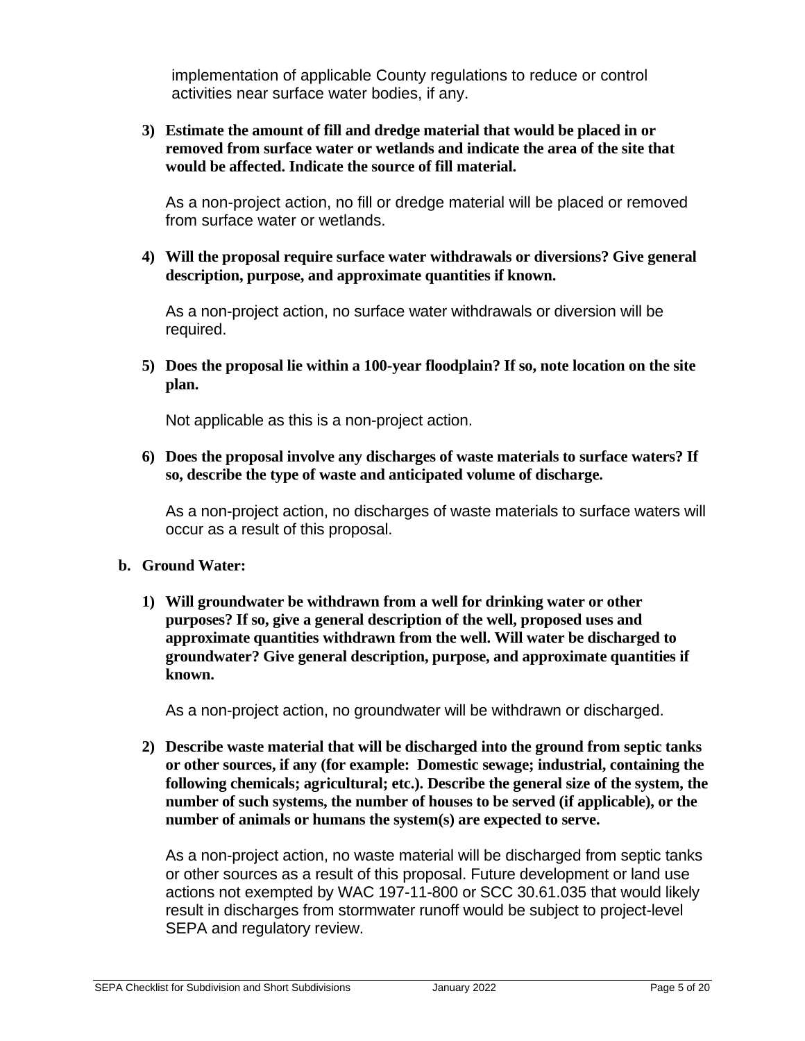implementation of applicable County regulations to reduce or control activities near surface water bodies, if any.

**3) Estimate the amount of fill and dredge material that would be placed in or removed from surface water or wetlands and indicate the area of the site that would be affected. Indicate the source of fill material.** 

As a non-project action, no fill or dredge material will be placed or removed from surface water or wetlands.

**4) Will the proposal require surface water withdrawals or diversions? Give general description, purpose, and approximate quantities if known.** 

As a non-project action, no surface water withdrawals or diversion will be required.

**5) Does the proposal lie within a 100-year floodplain? If so, note location on the site plan.**

Not applicable as this is a non-project action.

**6) Does the proposal involve any discharges of waste materials to surface waters? If so, describe the type of waste and anticipated volume of discharge.**

As a non-project action, no discharges of waste materials to surface waters will occur as a result of this proposal.

### **b. Ground Water:**

**1) Will groundwater be withdrawn from a well for drinking water or other purposes? If so, give a general description of the well, proposed uses and approximate quantities withdrawn from the well. Will water be discharged to groundwater? Give general description, purpose, and approximate quantities if known.** 

As a non-project action, no groundwater will be withdrawn or discharged.

**2) Describe waste material that will be discharged into the ground from septic tanks or other sources, if any (for example: Domestic sewage; industrial, containing the following chemicals; agricultural; etc.). Describe the general size of the system, the number of such systems, the number of houses to be served (if applicable), or the number of animals or humans the system(s) are expected to serve.**

As a non-project action, no waste material will be discharged from septic tanks or other sources as a result of this proposal. Future development or land use actions not exempted by WAC 197-11-800 or SCC 30.61.035 that would likely result in discharges from stormwater runoff would be subject to project-level SEPA and regulatory review.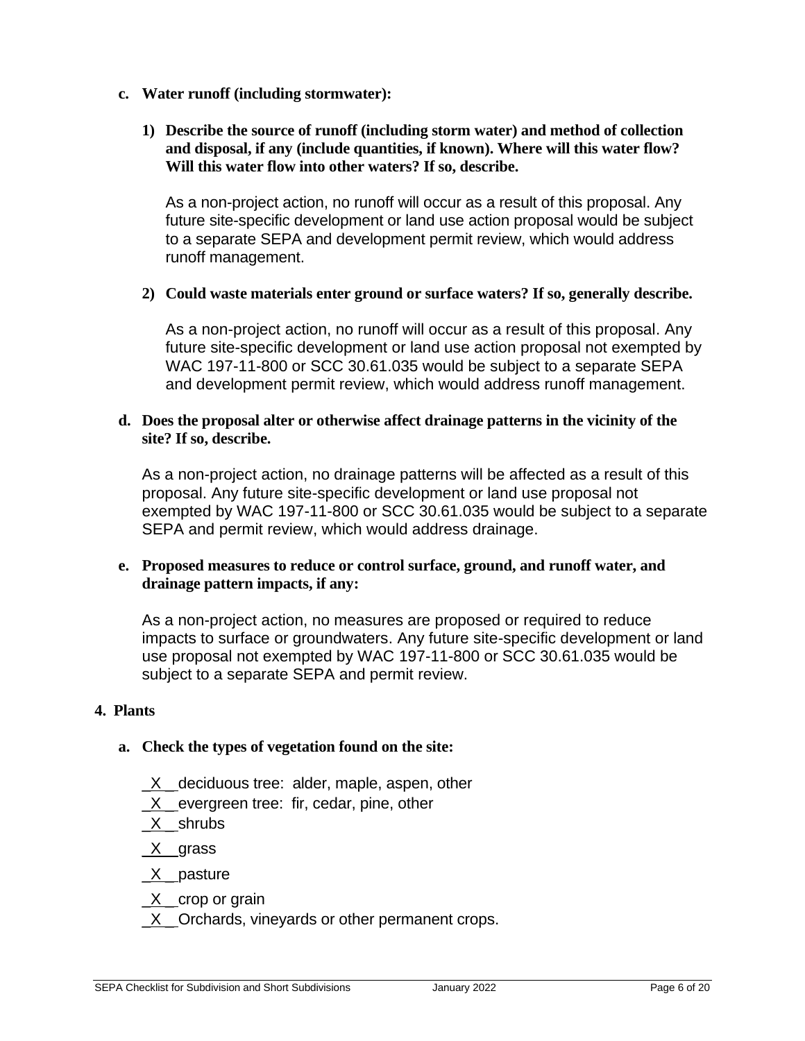- **c. Water runoff (including stormwater):**
	- **1) Describe the source of runoff (including storm water) and method of collection and disposal, if any (include quantities, if known). Where will this water flow? Will this water flow into other waters? If so, describe.**

As a non-project action, no runoff will occur as a result of this proposal. Any future site-specific development or land use action proposal would be subject to a separate SEPA and development permit review, which would address runoff management.

## **2) Could waste materials enter ground or surface waters? If so, generally describe.**

As a non-project action, no runoff will occur as a result of this proposal. Any future site-specific development or land use action proposal not exempted by WAC 197-11-800 or SCC 30.61.035 would be subject to a separate SEPA and development permit review, which would address runoff management.

### **d. Does the proposal alter or otherwise affect drainage patterns in the vicinity of the site? If so, describe.**

As a non-project action, no drainage patterns will be affected as a result of this proposal. Any future site-specific development or land use proposal not exempted by WAC 197-11-800 or SCC 30.61.035 would be subject to a separate SEPA and permit review, which would address drainage.

### **e. Proposed measures to reduce or control surface, ground, and runoff water, and drainage pattern impacts, if any:**

As a non-project action, no measures are proposed or required to reduce impacts to surface or groundwaters. Any future site-specific development or land use proposal not exempted by WAC 197-11-800 or SCC 30.61.035 would be subject to a separate SEPA and permit review.

## **4. Plants**

### **a. Check the types of vegetation found on the site:**

- $X$  deciduous tree: alder, maple, aspen, other
- X evergreen tree: fir, cedar, pine, other
- $X$  \_shrubs

\_X \_ grass

- X pasture
- $X$  \_ crop or grain
- X Orchards, vineyards or other permanent crops.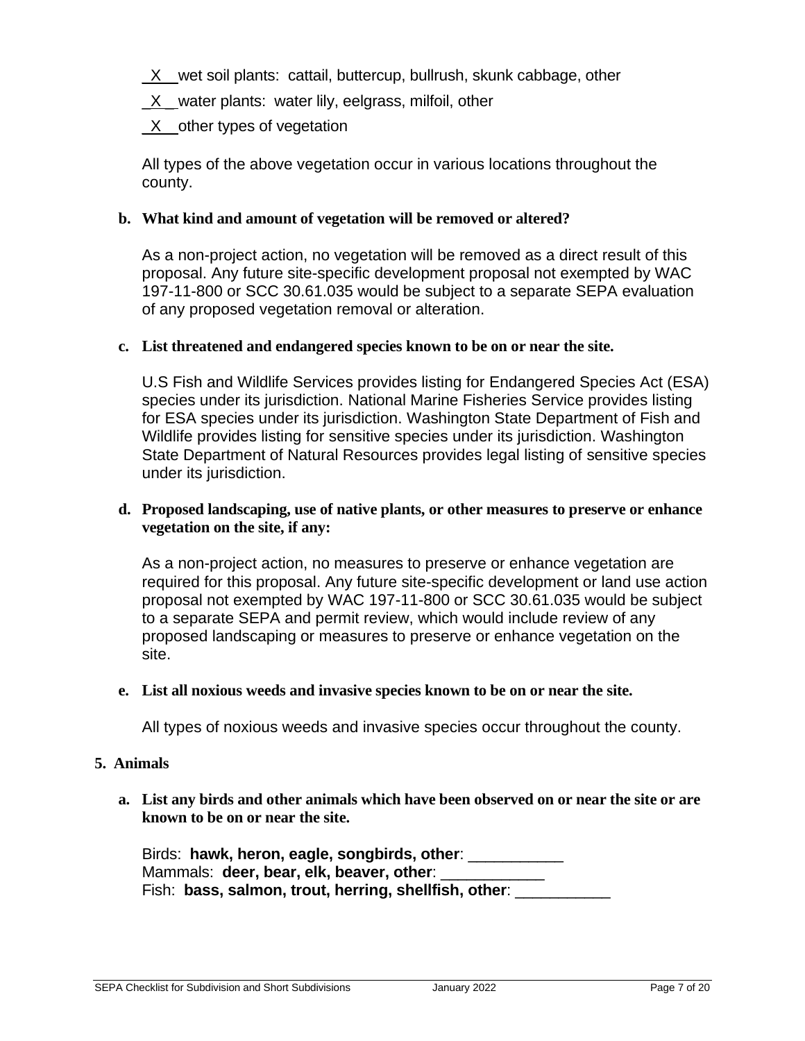$X$  wet soil plants: cattail, buttercup, bullrush, skunk cabbage, other

 $X$  water plants: water lily, eelgrass, milfoil, other

 $X$  other types of vegetation

All types of the above vegetation occur in various locations throughout the county.

## **b. What kind and amount of vegetation will be removed or altered?**

As a non-project action, no vegetation will be removed as a direct result of this proposal. Any future site-specific development proposal not exempted by WAC 197-11-800 or SCC 30.61.035 would be subject to a separate SEPA evaluation of any proposed vegetation removal or alteration.

### **c. List threatened and endangered species known to be on or near the site.**

U.S Fish and Wildlife Services provides listing for Endangered Species Act (ESA) species under its jurisdiction. National Marine Fisheries Service provides listing for ESA species under its jurisdiction. Washington State Department of Fish and Wildlife provides listing for sensitive species under its jurisdiction. Washington State Department of Natural Resources provides legal listing of sensitive species under its jurisdiction.

### **d. Proposed landscaping, use of native plants, or other measures to preserve or enhance vegetation on the site, if any:**

As a non-project action, no measures to preserve or enhance vegetation are required for this proposal. Any future site-specific development or land use action proposal not exempted by WAC 197-11-800 or SCC 30.61.035 would be subject to a separate SEPA and permit review, which would include review of any proposed landscaping or measures to preserve or enhance vegetation on the site.

### **e. List all noxious weeds and invasive species known to be on or near the site.**

All types of noxious weeds and invasive species occur throughout the county.

### **5. Animals**

**a. List any birds and other animals which have been observed on or near the site or are known to be on or near the site.**

Birds: **hawk, heron, eagle, songbirds, other**: \_\_\_\_\_\_\_\_\_\_\_ Mammals: deer, bear, elk, beaver, other: Fish: **bass, salmon, trout, herring, shellfish, other**: \_\_\_\_\_\_\_\_\_\_\_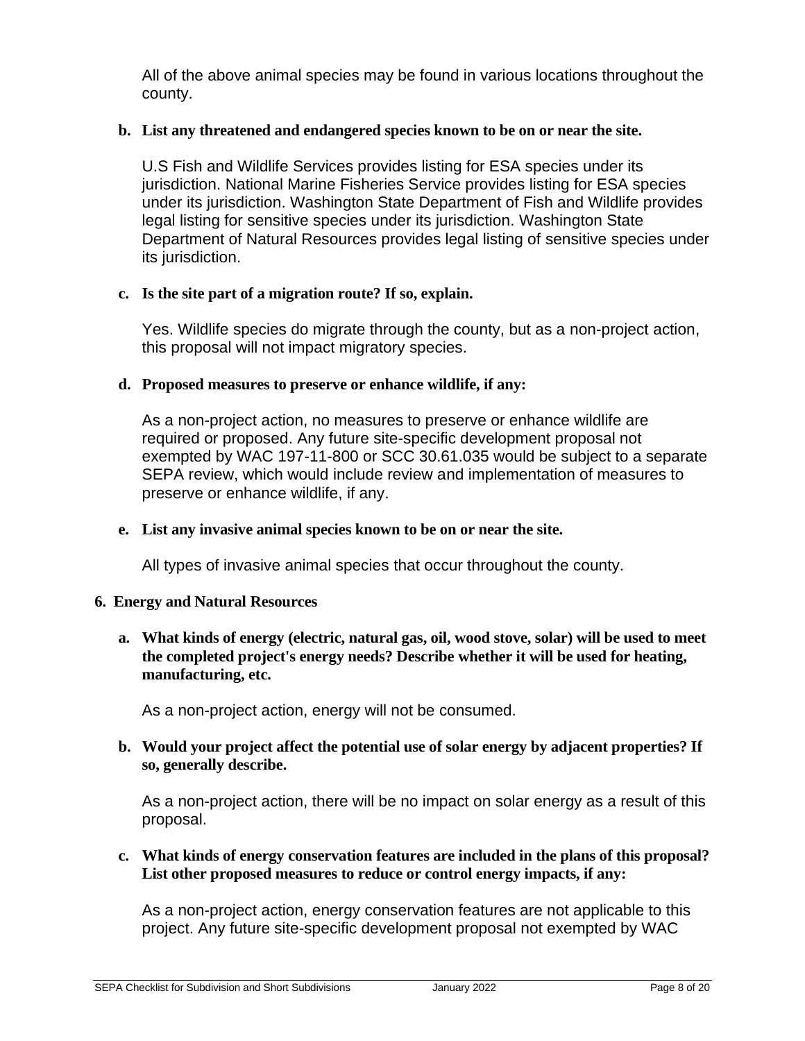All of the above animal species may be found in various locations throughout the county.

## **b. List any threatened and endangered species known to be on or near the site.**

U.S Fish and Wildlife Services provides listing for ESA species under its jurisdiction. National Marine Fisheries Service provides listing for ESA species under its jurisdiction. Washington State Department of Fish and Wildlife provides legal listing for sensitive species under its jurisdiction. Washington State Department of Natural Resources provides legal listing of sensitive species under its jurisdiction.

## **c. Is the site part of a migration route? If so, explain.**

Yes. Wildlife species do migrate through the county, but as a non-project action, this proposal will not impact migratory species.

## **d. Proposed measures to preserve or enhance wildlife, if any:**

As a non-project action, no measures to preserve or enhance wildlife are required or proposed. Any future site-specific development proposal not exempted by WAC 197-11-800 or SCC 30.61.035 would be subject to a separate SEPA review, which would include review and implementation of measures to preserve or enhance wildlife, if any.

### **e. List any invasive animal species known to be on or near the site.**

All types of invasive animal species that occur throughout the county.

### **6. Energy and Natural Resources**

**a. What kinds of energy (electric, natural gas, oil, wood stove, solar) will be used to meet the completed project's energy needs? Describe whether it will be used for heating, manufacturing, etc.** 

As a non-project action, energy will not be consumed.

**b. Would your project affect the potential use of solar energy by adjacent properties? If so, generally describe.**

As a non-project action, there will be no impact on solar energy as a result of this proposal.

## **c. What kinds of energy conservation features are included in the plans of this proposal? List other proposed measures to reduce or control energy impacts, if any:**

As a non-project action, energy conservation features are not applicable to this project. Any future site-specific development proposal not exempted by WAC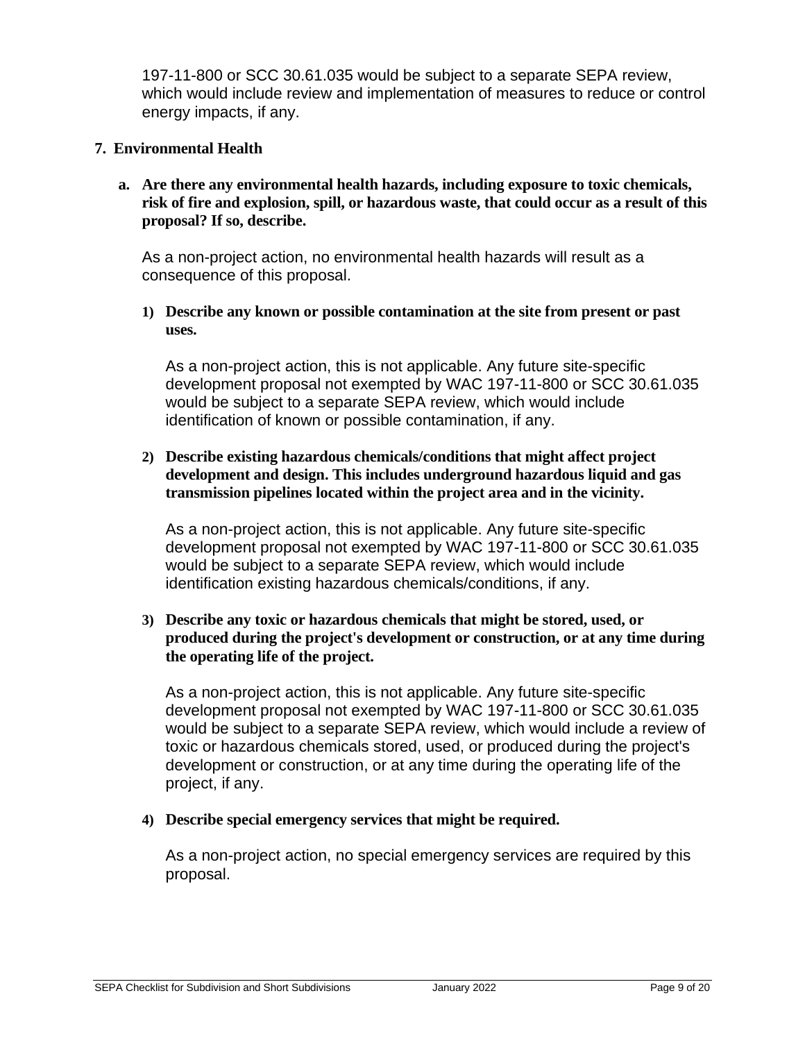197-11-800 or SCC 30.61.035 would be subject to a separate SEPA review, which would include review and implementation of measures to reduce or control energy impacts, if any.

## **7. Environmental Health**

**a. Are there any environmental health hazards, including exposure to toxic chemicals, risk of fire and explosion, spill, or hazardous waste, that could occur as a result of this proposal? If so, describe.**

As a non-project action, no environmental health hazards will result as a consequence of this proposal.

**1) Describe any known or possible contamination at the site from present or past uses.**

As a non-project action, this is not applicable. Any future site-specific development proposal not exempted by WAC 197-11-800 or SCC 30.61.035 would be subject to a separate SEPA review, which would include identification of known or possible contamination, if any.

## **2) Describe existing hazardous chemicals/conditions that might affect project development and design. This includes underground hazardous liquid and gas transmission pipelines located within the project area and in the vicinity.**

As a non-project action, this is not applicable. Any future site-specific development proposal not exempted by WAC 197-11-800 or SCC 30.61.035 would be subject to a separate SEPA review, which would include identification existing hazardous chemicals/conditions, if any.

**3) Describe any toxic or hazardous chemicals that might be stored, used, or produced during the project's development or construction, or at any time during the operating life of the project.**

As a non-project action, this is not applicable. Any future site-specific development proposal not exempted by WAC 197-11-800 or SCC 30.61.035 would be subject to a separate SEPA review, which would include a review of toxic or hazardous chemicals stored, used, or produced during the project's development or construction, or at any time during the operating life of the project, if any.

**4) Describe special emergency services that might be required.**

As a non-project action, no special emergency services are required by this proposal.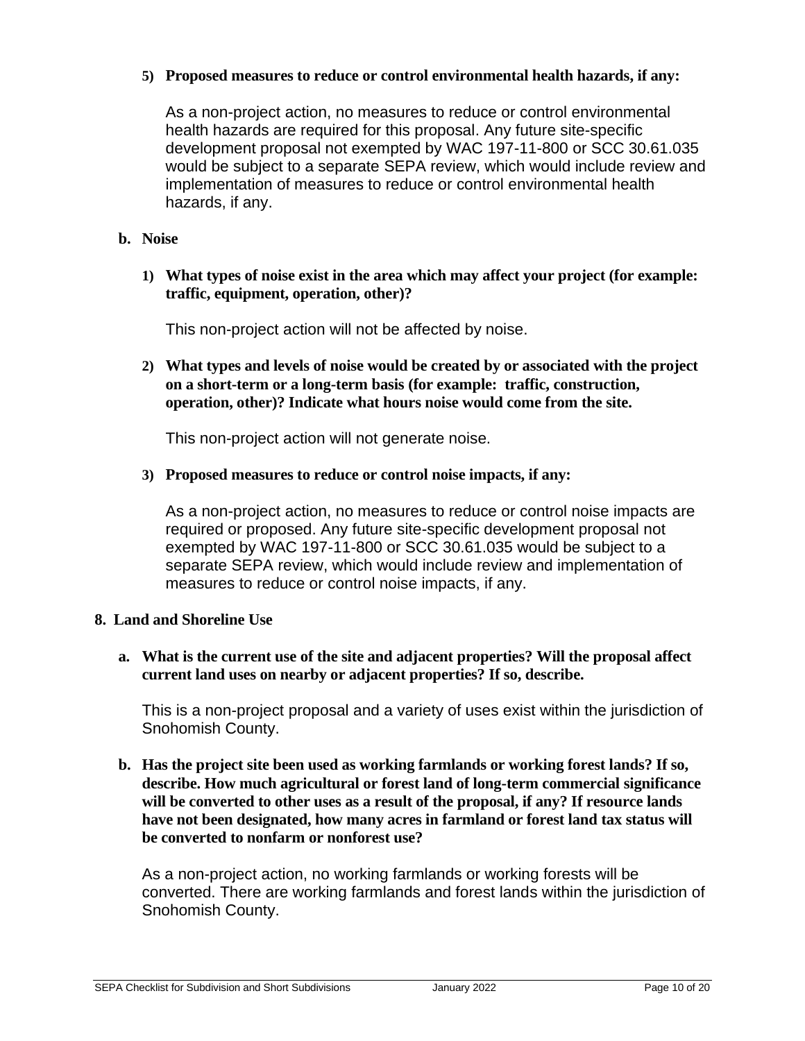## **5) Proposed measures to reduce or control environmental health hazards, if any:**

As a non-project action, no measures to reduce or control environmental health hazards are required for this proposal. Any future site-specific development proposal not exempted by WAC 197-11-800 or SCC 30.61.035 would be subject to a separate SEPA review, which would include review and implementation of measures to reduce or control environmental health hazards, if any.

## **b. Noise**

**1) What types of noise exist in the area which may affect your project (for example: traffic, equipment, operation, other)?** 

This non-project action will not be affected by noise.

**2) What types and levels of noise would be created by or associated with the project on a short-term or a long-term basis (for example: traffic, construction, operation, other)? Indicate what hours noise would come from the site.**

This non-project action will not generate noise.

**3) Proposed measures to reduce or control noise impacts, if any:**

As a non-project action, no measures to reduce or control noise impacts are required or proposed. Any future site-specific development proposal not exempted by WAC 197-11-800 or SCC 30.61.035 would be subject to a separate SEPA review, which would include review and implementation of measures to reduce or control noise impacts, if any.

### **8. Land and Shoreline Use**

**a. What is the current use of the site and adjacent properties? Will the proposal affect current land uses on nearby or adjacent properties? If so, describe.**

This is a non-project proposal and a variety of uses exist within the jurisdiction of Snohomish County.

**b. Has the project site been used as working farmlands or working forest lands? If so, describe. How much agricultural or forest land of long-term commercial significance will be converted to other uses as a result of the proposal, if any? If resource lands have not been designated, how many acres in farmland or forest land tax status will be converted to nonfarm or nonforest use?** 

As a non-project action, no working farmlands or working forests will be converted. There are working farmlands and forest lands within the jurisdiction of Snohomish County.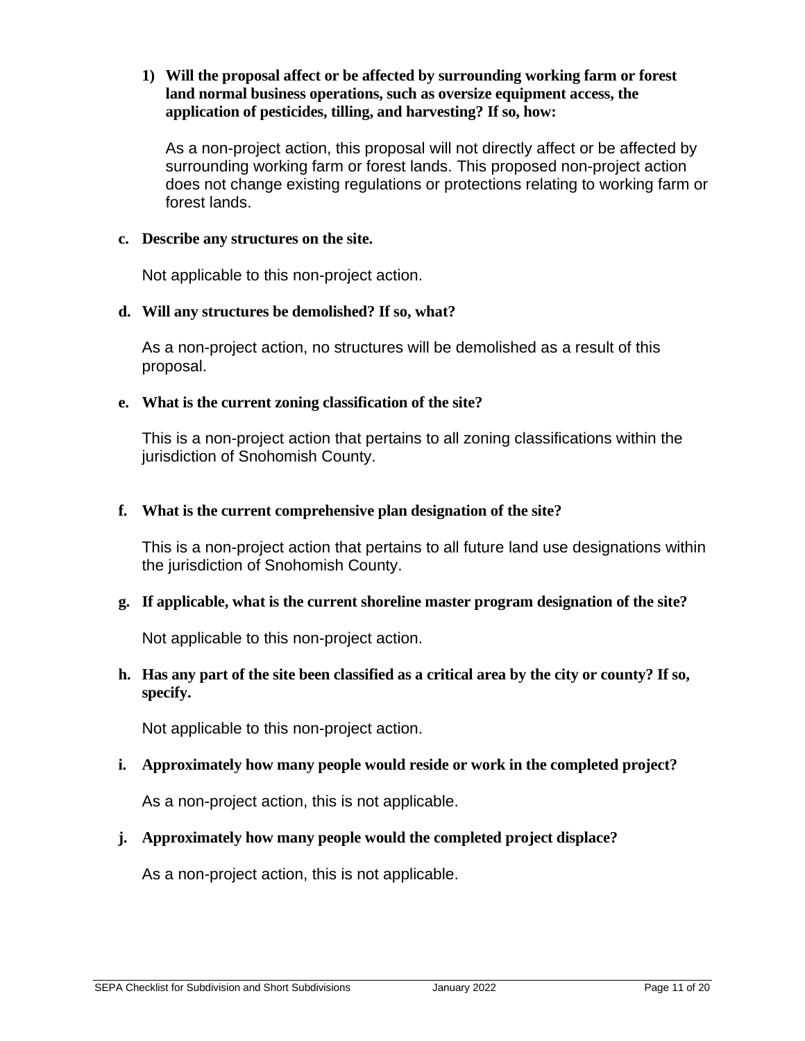## **1) Will the proposal affect or be affected by surrounding working farm or forest land normal business operations, such as oversize equipment access, the application of pesticides, tilling, and harvesting? If so, how:**

As a non-project action, this proposal will not directly affect or be affected by surrounding working farm or forest lands. This proposed non-project action does not change existing regulations or protections relating to working farm or forest lands.

### **c. Describe any structures on the site.**

Not applicable to this non-project action.

## **d. Will any structures be demolished? If so, what?**

As a non-project action, no structures will be demolished as a result of this proposal.

## **e. What is the current zoning classification of the site?**

This is a non-project action that pertains to all zoning classifications within the jurisdiction of Snohomish County.

## **f. What is the current comprehensive plan designation of the site?**

This is a non-project action that pertains to all future land use designations within the jurisdiction of Snohomish County.

## **g. If applicable, what is the current shoreline master program designation of the site?**

Not applicable to this non-project action.

## **h. Has any part of the site been classified as a critical area by the city or county? If so, specify.**

Not applicable to this non-project action.

## **i. Approximately how many people would reside or work in the completed project?**

As a non-project action, this is not applicable.

## **j. Approximately how many people would the completed project displace?**

As a non-project action, this is not applicable.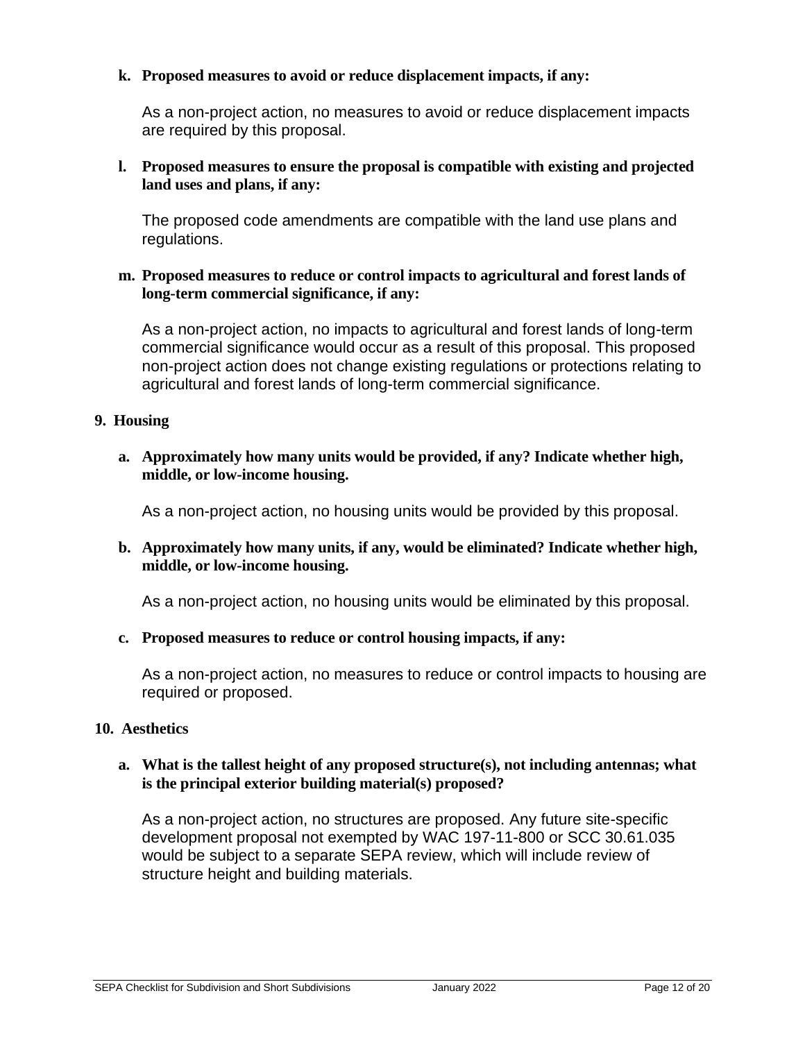## **k. Proposed measures to avoid or reduce displacement impacts, if any:**

As a non-project action, no measures to avoid or reduce displacement impacts are required by this proposal.

## **l. Proposed measures to ensure the proposal is compatible with existing and projected land uses and plans, if any:**

The proposed code amendments are compatible with the land use plans and regulations.

### **m. Proposed measures to reduce or control impacts to agricultural and forest lands of long-term commercial significance, if any:**

As a non-project action, no impacts to agricultural and forest lands of long-term commercial significance would occur as a result of this proposal. This proposed non-project action does not change existing regulations or protections relating to agricultural and forest lands of long-term commercial significance.

### **9. Housing**

**a. Approximately how many units would be provided, if any? Indicate whether high, middle, or low-income housing.** 

As a non-project action, no housing units would be provided by this proposal.

**b. Approximately how many units, if any, would be eliminated? Indicate whether high, middle, or low-income housing.** 

As a non-project action, no housing units would be eliminated by this proposal.

### **c. Proposed measures to reduce or control housing impacts, if any:**

As a non-project action, no measures to reduce or control impacts to housing are required or proposed.

### **10. Aesthetics**

## **a. What is the tallest height of any proposed structure(s), not including antennas; what is the principal exterior building material(s) proposed?**

As a non-project action, no structures are proposed. Any future site-specific development proposal not exempted by WAC 197-11-800 or SCC 30.61.035 would be subject to a separate SEPA review, which will include review of structure height and building materials.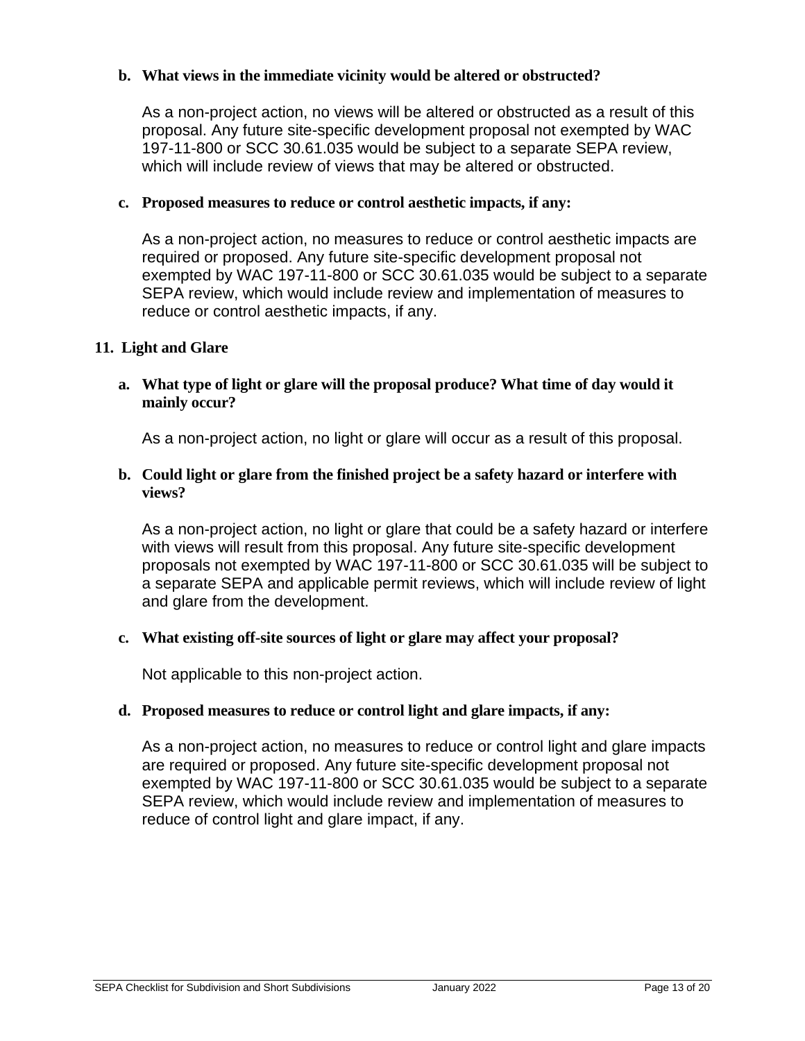## **b. What views in the immediate vicinity would be altered or obstructed?**

As a non-project action, no views will be altered or obstructed as a result of this proposal. Any future site-specific development proposal not exempted by WAC 197-11-800 or SCC 30.61.035 would be subject to a separate SEPA review, which will include review of views that may be altered or obstructed.

## **c. Proposed measures to reduce or control aesthetic impacts, if any:**

As a non-project action, no measures to reduce or control aesthetic impacts are required or proposed. Any future site-specific development proposal not exempted by WAC 197-11-800 or SCC 30.61.035 would be subject to a separate SEPA review, which would include review and implementation of measures to reduce or control aesthetic impacts, if any.

## **11. Light and Glare**

## **a. What type of light or glare will the proposal produce? What time of day would it mainly occur?**

As a non-project action, no light or glare will occur as a result of this proposal.

## **b. Could light or glare from the finished project be a safety hazard or interfere with views?**

As a non-project action, no light or glare that could be a safety hazard or interfere with views will result from this proposal. Any future site-specific development proposals not exempted by WAC 197-11-800 or SCC 30.61.035 will be subject to a separate SEPA and applicable permit reviews, which will include review of light and glare from the development.

### **c. What existing off-site sources of light or glare may affect your proposal?**

Not applicable to this non-project action.

### **d. Proposed measures to reduce or control light and glare impacts, if any:**

As a non-project action, no measures to reduce or control light and glare impacts are required or proposed. Any future site-specific development proposal not exempted by WAC 197-11-800 or SCC 30.61.035 would be subject to a separate SEPA review, which would include review and implementation of measures to reduce of control light and glare impact, if any.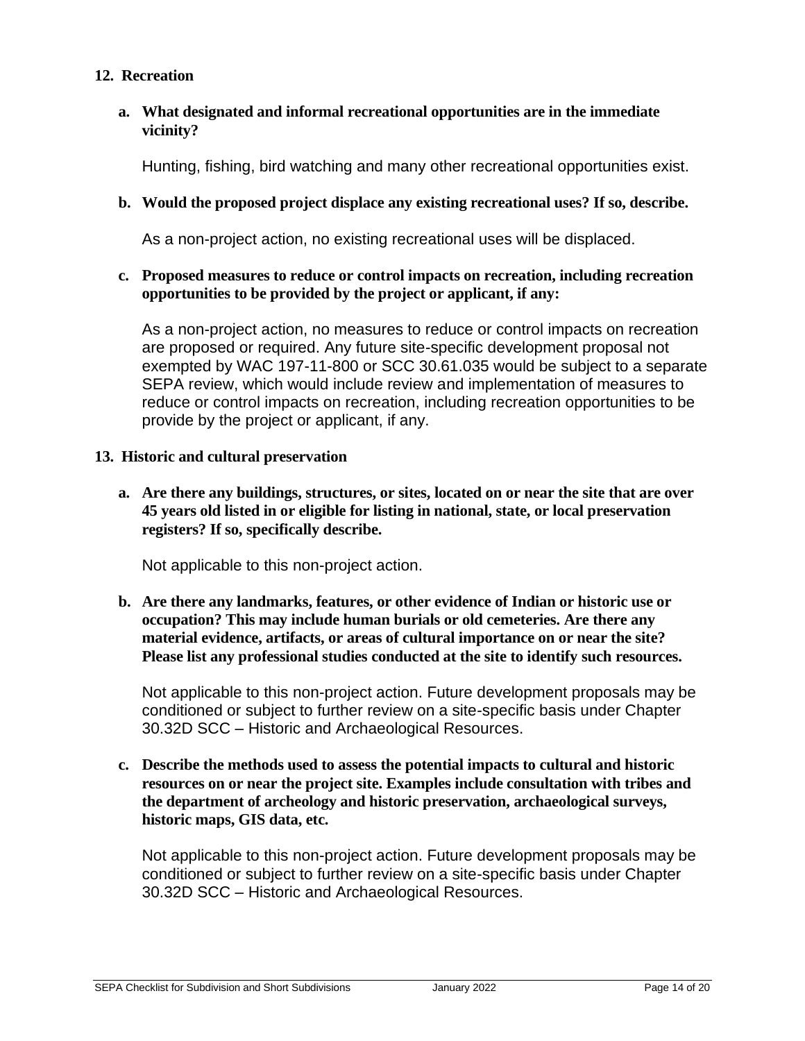## **12. Recreation**

## **a. What designated and informal recreational opportunities are in the immediate vicinity?**

Hunting, fishing, bird watching and many other recreational opportunities exist.

## **b. Would the proposed project displace any existing recreational uses? If so, describe.**

As a non-project action, no existing recreational uses will be displaced.

### **c. Proposed measures to reduce or control impacts on recreation, including recreation opportunities to be provided by the project or applicant, if any:**

As a non-project action, no measures to reduce or control impacts on recreation are proposed or required. Any future site-specific development proposal not exempted by WAC 197-11-800 or SCC 30.61.035 would be subject to a separate SEPA review, which would include review and implementation of measures to reduce or control impacts on recreation, including recreation opportunities to be provide by the project or applicant, if any.

### **13. Historic and cultural preservation**

**a. Are there any buildings, structures, or sites, located on or near the site that are over 45 years old listed in or eligible for listing in national, state, or local preservation registers? If so, specifically describe.** 

Not applicable to this non-project action.

**b. Are there any landmarks, features, or other evidence of Indian or historic use or occupation? This may include human burials or old cemeteries. Are there any material evidence, artifacts, or areas of cultural importance on or near the site? Please list any professional studies conducted at the site to identify such resources.**

Not applicable to this non-project action. Future development proposals may be conditioned or subject to further review on a site-specific basis under Chapter 30.32D SCC – Historic and Archaeological Resources.

**c. Describe the methods used to assess the potential impacts to cultural and historic resources on or near the project site. Examples include consultation with tribes and the department of archeology and historic preservation, archaeological surveys, historic maps, GIS data, etc.**

Not applicable to this non-project action. Future development proposals may be conditioned or subject to further review on a site-specific basis under Chapter 30.32D SCC – Historic and Archaeological Resources.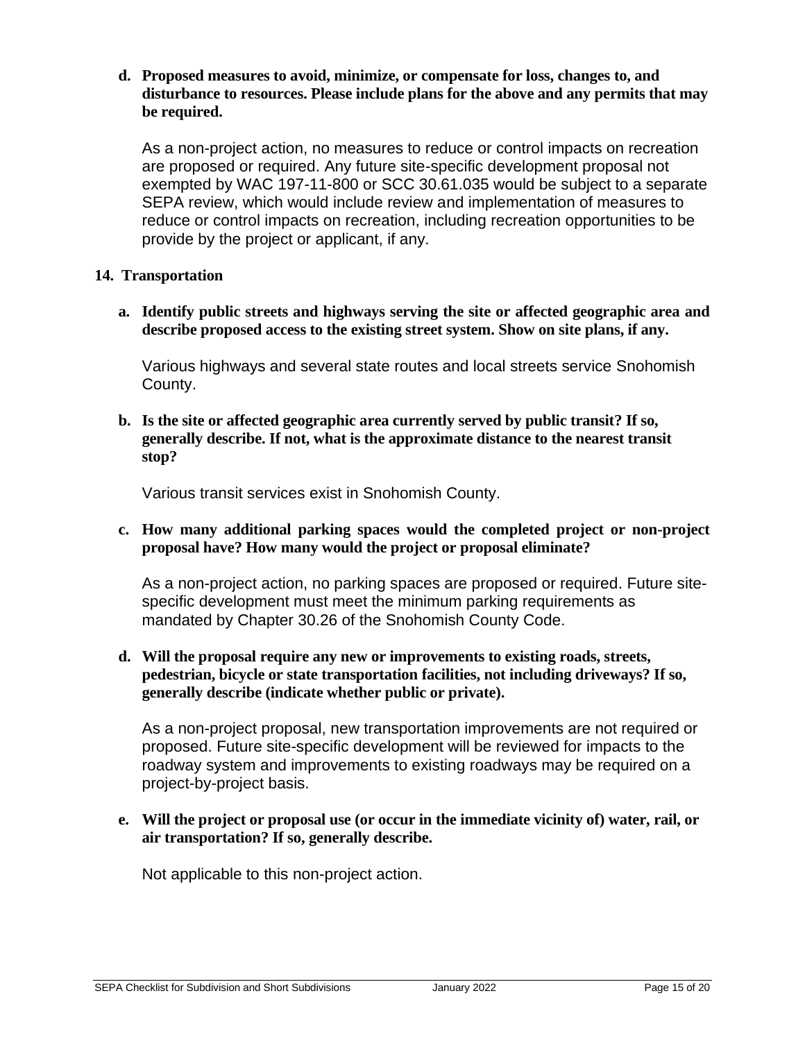### **d. Proposed measures to avoid, minimize, or compensate for loss, changes to, and disturbance to resources. Please include plans for the above and any permits that may be required.**

As a non-project action, no measures to reduce or control impacts on recreation are proposed or required. Any future site-specific development proposal not exempted by WAC 197-11-800 or SCC 30.61.035 would be subject to a separate SEPA review, which would include review and implementation of measures to reduce or control impacts on recreation, including recreation opportunities to be provide by the project or applicant, if any.

## **14. Transportation**

**a. Identify public streets and highways serving the site or affected geographic area and describe proposed access to the existing street system. Show on site plans, if any.** 

Various highways and several state routes and local streets service Snohomish County.

**b. Is the site or affected geographic area currently served by public transit? If so, generally describe. If not, what is the approximate distance to the nearest transit stop?** 

Various transit services exist in Snohomish County.

**c. How many additional parking spaces would the completed project or non-project proposal have? How many would the project or proposal eliminate?** 

As a non-project action, no parking spaces are proposed or required. Future sitespecific development must meet the minimum parking requirements as mandated by Chapter 30.26 of the Snohomish County Code.

**d. Will the proposal require any new or improvements to existing roads, streets, pedestrian, bicycle or state transportation facilities, not including driveways? If so, generally describe (indicate whether public or private).** 

As a non-project proposal, new transportation improvements are not required or proposed. Future site-specific development will be reviewed for impacts to the roadway system and improvements to existing roadways may be required on a project-by-project basis.

**e. Will the project or proposal use (or occur in the immediate vicinity of) water, rail, or air transportation? If so, generally describe.** 

Not applicable to this non-project action.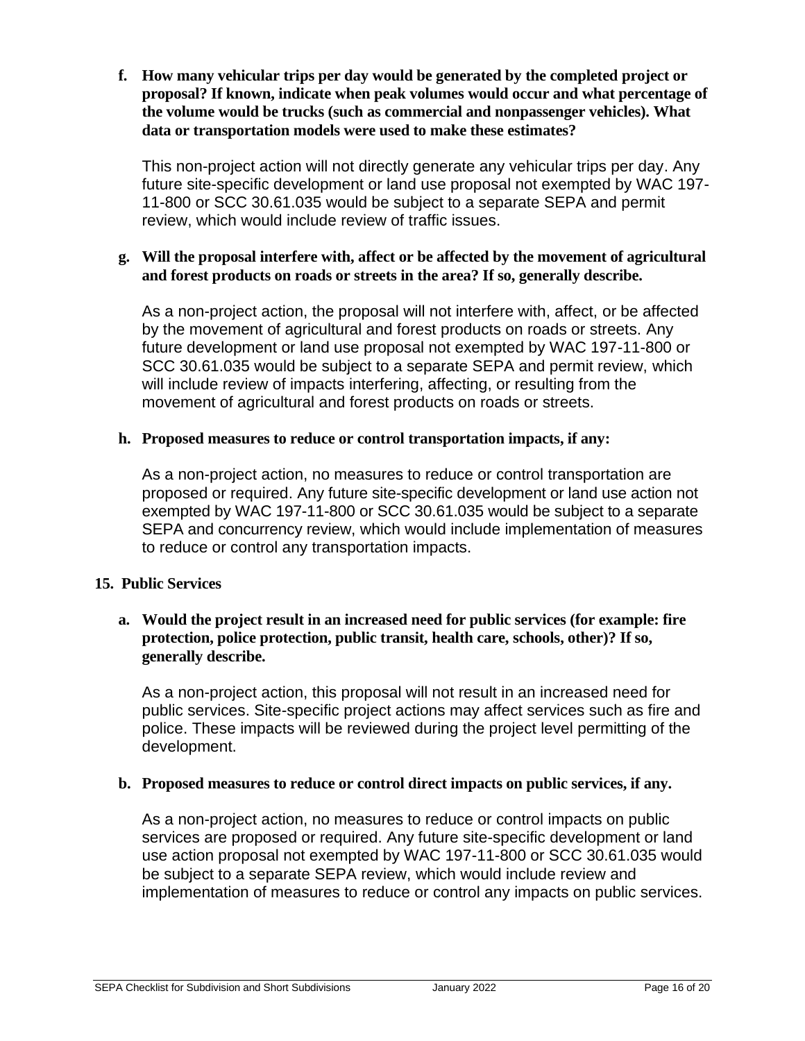**f. How many vehicular trips per day would be generated by the completed project or proposal? If known, indicate when peak volumes would occur and what percentage of the volume would be trucks (such as commercial and nonpassenger vehicles). What data or transportation models were used to make these estimates?**

This non-project action will not directly generate any vehicular trips per day. Any future site-specific development or land use proposal not exempted by WAC 197- 11-800 or SCC 30.61.035 would be subject to a separate SEPA and permit review, which would include review of traffic issues.

## **g. Will the proposal interfere with, affect or be affected by the movement of agricultural and forest products on roads or streets in the area? If so, generally describe.**

As a non-project action, the proposal will not interfere with, affect, or be affected by the movement of agricultural and forest products on roads or streets. Any future development or land use proposal not exempted by WAC 197-11-800 or SCC 30.61.035 would be subject to a separate SEPA and permit review, which will include review of impacts interfering, affecting, or resulting from the movement of agricultural and forest products on roads or streets.

## **h. Proposed measures to reduce or control transportation impacts, if any:**

As a non-project action, no measures to reduce or control transportation are proposed or required. Any future site-specific development or land use action not exempted by WAC 197-11-800 or SCC 30.61.035 would be subject to a separate SEPA and concurrency review, which would include implementation of measures to reduce or control any transportation impacts.

### **15. Public Services**

## **a. Would the project result in an increased need for public services (for example: fire protection, police protection, public transit, health care, schools, other)? If so, generally describe.**

As a non-project action, this proposal will not result in an increased need for public services. Site-specific project actions may affect services such as fire and police. These impacts will be reviewed during the project level permitting of the development.

### **b. Proposed measures to reduce or control direct impacts on public services, if any.**

As a non-project action, no measures to reduce or control impacts on public services are proposed or required. Any future site-specific development or land use action proposal not exempted by WAC 197-11-800 or SCC 30.61.035 would be subject to a separate SEPA review, which would include review and implementation of measures to reduce or control any impacts on public services.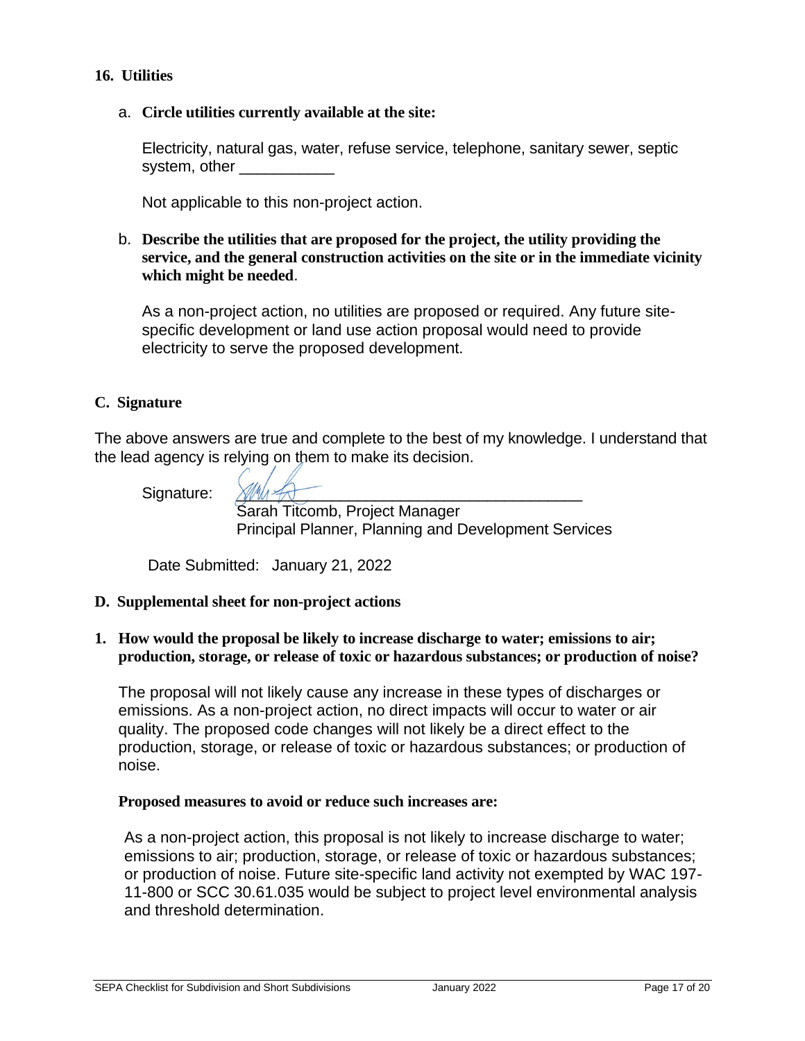## **16. Utilities**

### a. **Circle utilities currently available at the site:**

Electricity, natural gas, water, refuse service, telephone, sanitary sewer, septic system, other

Not applicable to this non-project action.

## b. **Describe the utilities that are proposed for the project, the utility providing the service, and the general construction activities on the site or in the immediate vicinity which might be needed**.

As a non-project action, no utilities are proposed or required. Any future sitespecific development or land use action proposal would need to provide electricity to serve the proposed development.

### **C. Signature**

The above answers are true and complete to the best of my knowledge. I understand that the lead agency is relying on them to make its decision.

Signature:

Sarah Titcomb, Project Manager Principal Planner, Planning and Development Services

Date Submitted: January 21, 2022

### **D. Supplemental sheet for non-project actions**

### **1. How would the proposal be likely to increase discharge to water; emissions to air; production, storage, or release of toxic or hazardous substances; or production of noise?**

The proposal will not likely cause any increase in these types of discharges or emissions. As a non-project action, no direct impacts will occur to water or air quality. The proposed code changes will not likely be a direct effect to the production, storage, or release of toxic or hazardous substances; or production of noise.

#### **Proposed measures to avoid or reduce such increases are:**

As a non-project action, this proposal is not likely to increase discharge to water; emissions to air; production, storage, or release of toxic or hazardous substances; or production of noise. Future site-specific land activity not exempted by WAC 197- 11-800 or SCC 30.61.035 would be subject to project level environmental analysis and threshold determination.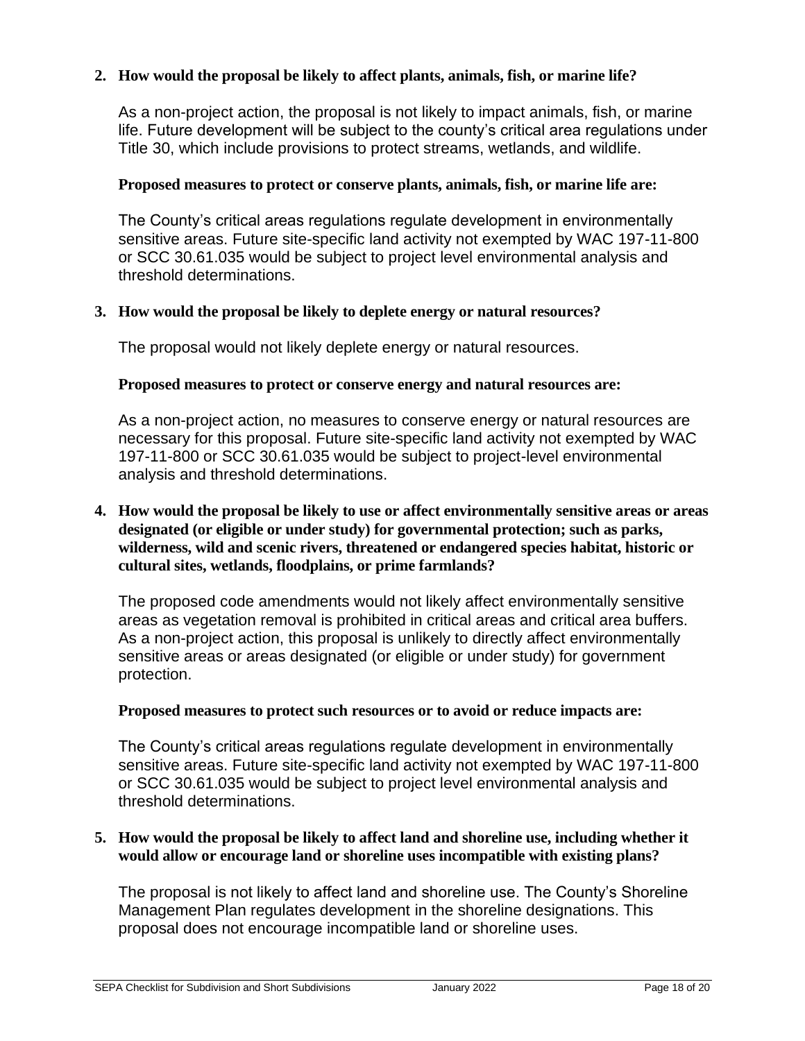## **2. How would the proposal be likely to affect plants, animals, fish, or marine life?**

As a non-project action, the proposal is not likely to impact animals, fish, or marine life. Future development will be subject to the county's critical area regulations under Title 30, which include provisions to protect streams, wetlands, and wildlife.

## **Proposed measures to protect or conserve plants, animals, fish, or marine life are:**

The County's critical areas regulations regulate development in environmentally sensitive areas. Future site-specific land activity not exempted by WAC 197-11-800 or SCC 30.61.035 would be subject to project level environmental analysis and threshold determinations.

## **3. How would the proposal be likely to deplete energy or natural resources?**

The proposal would not likely deplete energy or natural resources.

### **Proposed measures to protect or conserve energy and natural resources are:**

As a non-project action, no measures to conserve energy or natural resources are necessary for this proposal. Future site-specific land activity not exempted by WAC 197-11-800 or SCC 30.61.035 would be subject to project-level environmental analysis and threshold determinations.

## **4. How would the proposal be likely to use or affect environmentally sensitive areas or areas designated (or eligible or under study) for governmental protection; such as parks, wilderness, wild and scenic rivers, threatened or endangered species habitat, historic or cultural sites, wetlands, floodplains, or prime farmlands?**

The proposed code amendments would not likely affect environmentally sensitive areas as vegetation removal is prohibited in critical areas and critical area buffers. As a non-project action, this proposal is unlikely to directly affect environmentally sensitive areas or areas designated (or eligible or under study) for government protection.

### **Proposed measures to protect such resources or to avoid or reduce impacts are:**

The County's critical areas regulations regulate development in environmentally sensitive areas. Future site-specific land activity not exempted by WAC 197-11-800 or SCC 30.61.035 would be subject to project level environmental analysis and threshold determinations.

### **5. How would the proposal be likely to affect land and shoreline use, including whether it would allow or encourage land or shoreline uses incompatible with existing plans?**

The proposal is not likely to affect land and shoreline use. The County's Shoreline Management Plan regulates development in the shoreline designations. This proposal does not encourage incompatible land or shoreline uses.